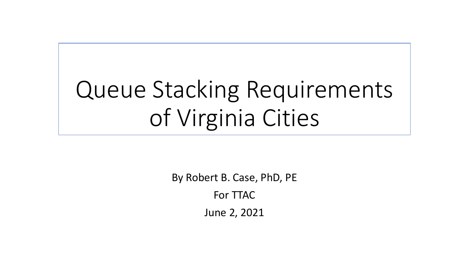# Queue Stacking Requirements of Virginia Cities

By Robert B. Case, PhD, PE For TTAC June 2, 2021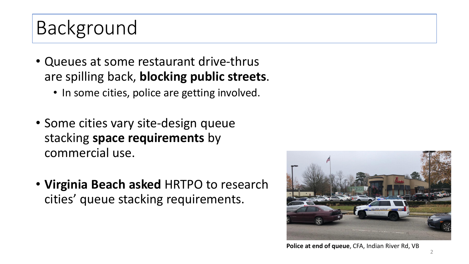# Background

- Queues at some restaurant drive-thrus are spilling back, **blocking public streets**.
	- In some cities, police are getting involved.
- Some cities vary site-design queue stacking **space requirements** by commercial use.
- **Virginia Beach asked** HRTPO to research cities' queue stacking requirements.



**Police at end of queue**, CFA, Indian River Rd, VB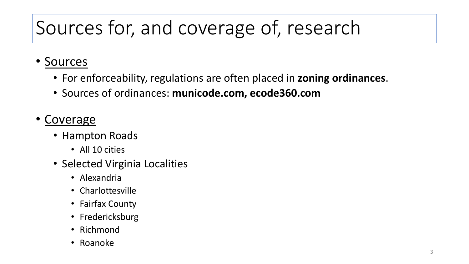# Sources for, and coverage of, research

#### • Sources

- For enforceability, regulations are often placed in **zoning ordinances**.
- Sources of ordinances: **municode.com, ecode360.com**

#### **Coverage**

- Hampton Roads
	- All 10 cities
- Selected Virginia Localities
	- Alexandria
	- Charlottesville
	- Fairfax County
	- Fredericksburg
	- Richmond
	- Roanoke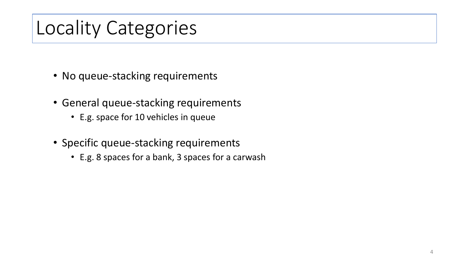#### Locality Categories

- No queue-stacking requirements
- General queue-stacking requirements
	- E.g. space for 10 vehicles in queue
- Specific queue-stacking requirements
	- E.g. 8 spaces for a bank, 3 spaces for a carwash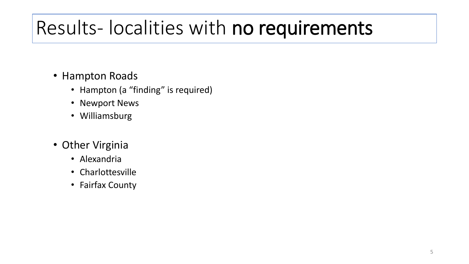### Results- localities with no requirements

- Hampton Roads
	- Hampton (a "finding" is required)
	- Newport News
	- Williamsburg
- Other Virginia
	- Alexandria
	- Charlottesville
	- Fairfax County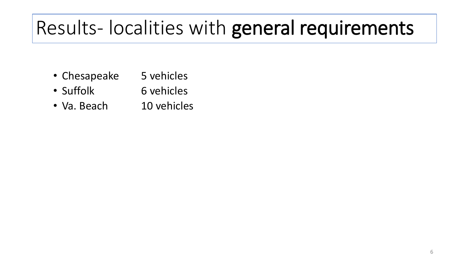### Results- localities with general requirements

- Chesapeake 5 vehicles
- Suffolk 6 vehicles
- Va. Beach 10 vehicles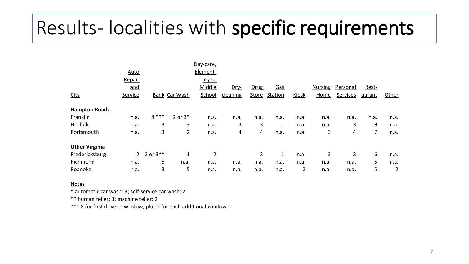### Results- localities with specific requirements

|                       |             |               |                | Day-care,          |          |       |            |       |                |          |        |       |
|-----------------------|-------------|---------------|----------------|--------------------|----------|-------|------------|-------|----------------|----------|--------|-------|
|                       | <b>Auto</b> |               |                | Element-<br>ary or |          |       |            |       |                |          |        |       |
|                       | Repair      |               |                |                    |          |       |            |       |                |          |        |       |
|                       | and         |               |                | Middle             | Dry-     | Drug  | <u>Gas</u> |       | <b>Nursing</b> | Personal | Rest-  |       |
| <b>City</b>           | Service     | Bank Car Wash |                | School             | cleaning | Store | Station    | Kiosk | Home           | Services | aurant | Other |
| <b>Hampton Roads</b>  |             |               |                |                    |          |       |            |       |                |          |        |       |
| Franklin              | n.a.        | $8***$        | $2$ or $3*$    | n.a.               | n.a.     | n.a.  | n.a.       | n.a.  | n.a.           | n.a.     | n.a.   | n.a.  |
| Norfolk               | n.a.        | 3             | 3              | n.a.               | 3        | 3     | 1          | n.a.  | n.a.           | 3        | 9      | n.a.  |
| Portsmouth            | n.a.        | 3             | $\overline{2}$ | n.a.               | 4        | 4     | n.a.       | n.a.  | 3              | 4        | 7      | n.a.  |
| <b>Other Virginia</b> |             |               |                |                    |          |       |            |       |                |          |        |       |
| Fredericksburg        |             | 2 2 or $3***$ | 1              | $\overline{2}$     |          | 3     | 1          | n.a.  | 3              | 3        | 6      | n.a.  |
| Richmond              | n.a.        | 5             | n.a.           | n.a.               | n.a.     | n.a.  | n.a.       | n.a.  | n.a.           | n.a.     | 5      | n.a.  |
| Roanoke               | n.a.        | 3             | 5              | n.a.               | n.a.     | n.a.  | n.a.       | 2     | n.a.           | n.a.     | 5      | 2     |

Notes

\* automatic car wash: 3; self-service car wash: 2

\*\* human teller: 3; machine teller: 2

\*\*\* 8 for first drive-in window, plus 2 for each additional window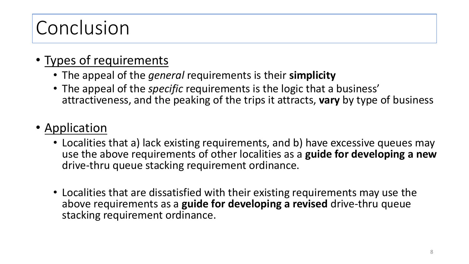# Conclusion

#### • Types of requirements

- The appeal of the *general* requirements is their **simplicity**
- The appeal of the *specific* requirements is the logic that a business' attractiveness, and the peaking of the trips it attracts, **vary** by type of business

#### • Application

- Localities that a) lack existing requirements, and b) have excessive queues may use the above requirements of other localities as a **guide for developing a new**  drive-thru queue stacking requirement ordinance.
- Localities that are dissatisfied with their existing requirements may use the above requirements as a **guide for developing a revised** drive-thru queue stacking requirement ordinance.